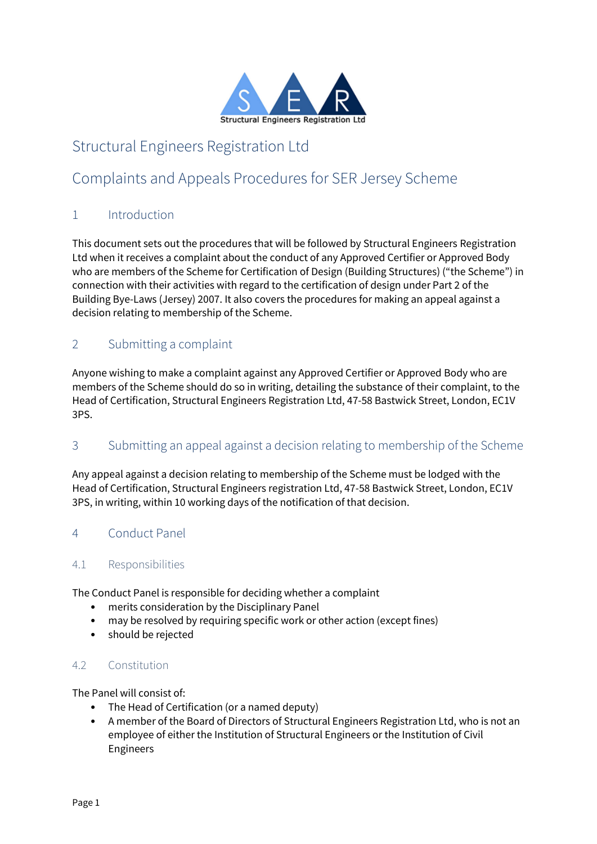

# Structural Engineers Registration Ltd

# Complaints and Appeals Procedures for SER Jersey Scheme

# 1 Introduction

This document sets out the procedures that will be followed by Structural Engineers Registration Ltd when it receives a complaint about the conduct of any Approved Certifier or Approved Body who are members of the Scheme for Certification of Design (Building Structures) ("the Scheme") in connection with their activities with regard to the certification of design under Part 2 of the Building Bye-Laws (Jersey) 2007. It also covers the procedures for making an appeal against a decision relating to membership of the Scheme.

# 2 Submitting a complaint

Anyone wishing to make a complaint against any Approved Certifier or Approved Body who are members of the Scheme should do so in writing, detailing the substance of their complaint, to the Head of Certification, Structural Engineers Registration Ltd, 47-58 Bastwick Street, London, EC1V 3PS.

# 3 Submitting an appeal against a decision relating to membership of the Scheme

Any appeal against a decision relating to membership of the Scheme must be lodged with the Head of Certification, Structural Engineers registration Ltd, 47-58 Bastwick Street, London, EC1V 3PS, in writing, within 10 working days of the notification of that decision.

# 4 Conduct Panel

## 4.1 Responsibilities

The Conduct Panel is responsible for deciding whether a complaint

- merits consideration by the Disciplinary Panel
- may be resolved by requiring specific work or other action (except fines)
- should be rejected

## 4.2 Constitution

The Panel will consist of:

- The Head of Certification (or a named deputy)
- A member of the Board of Directors of Structural Engineers Registration Ltd, who is not an employee of either the Institution of Structural Engineers or the Institution of Civil Engineers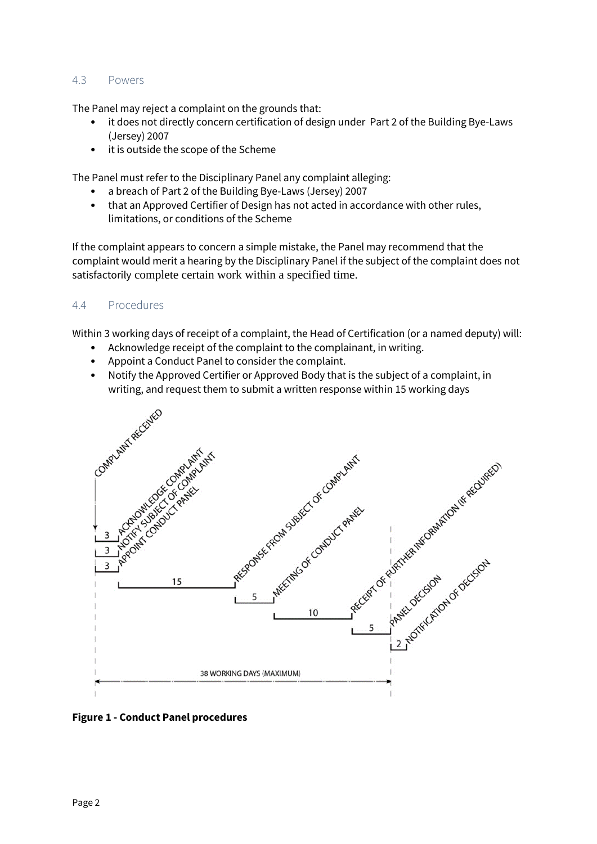#### 4.3 Powers

The Panel may reject a complaint on the grounds that:

- it does not directly concern certification of design under Part 2 of the Building Bye-Laws (Jersey) 2007
- it is outside the scope of the Scheme

The Panel must refer to the Disciplinary Panel any complaint alleging:

- a breach of Part 2 of the Building Bye-Laws (Jersey) 2007
- that an Approved Certifier of Design has not acted in accordance with other rules, limitations, or conditions of the Scheme

If the complaint appears to concern a simple mistake, the Panel may recommend that the complaint would merit a hearing by the Disciplinary Panel if the subject of the complaint does not satisfactorily complete certain work within a specified time.

#### 4.4 Procedures

Within 3 working days of receipt of a complaint, the Head of Certification (or a named deputy) will:

- Acknowledge receipt of the complaint to the complainant, in writing.
- Appoint a Conduct Panel to consider the complaint.
- Notify the Approved Certifier or Approved Body that is the subject of a complaint, in writing, and request them to submit a written response within 15 working days



**Figure 1 - Conduct Panel procedures**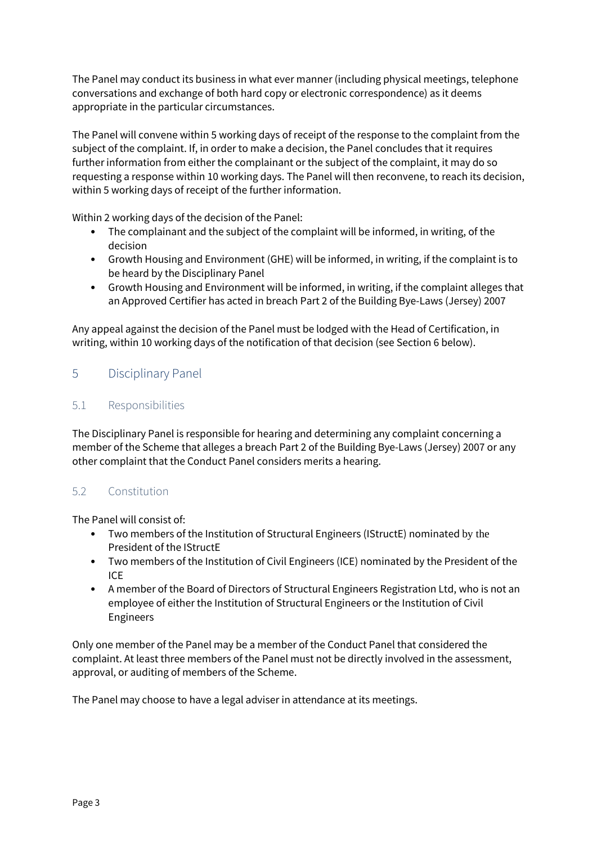The Panel may conduct its business in what ever manner (including physical meetings, telephone conversations and exchange of both hard copy or electronic correspondence) as it deems appropriate in the particular circumstances.

The Panel will convene within 5 working days of receipt of the response to the complaint from the subject of the complaint. If, in order to make a decision, the Panel concludes that it requires further information from either the complainant or the subject of the complaint, it may do so requesting a response within 10 working days. The Panel will then reconvene, to reach its decision, within 5 working days of receipt of the further information.

Within 2 working days of the decision of the Panel:

- The complainant and the subject of the complaint will be informed, in writing, of the decision
- Growth Housing and Environment (GHE) will be informed, in writing, if the complaint is to be heard by the Disciplinary Panel
- Growth Housing and Environment will be informed, in writing, if the complaint alleges that an Approved Certifier has acted in breach Part 2 of the Building Bye-Laws (Jersey) 2007

Any appeal against the decision of the Panel must be lodged with the Head of Certification, in writing, within 10 working days of the notification of that decision (see Section 6 below).

# 5 Disciplinary Panel

## 5.1 Responsibilities

The Disciplinary Panel is responsible for hearing and determining any complaint concerning a member of the Scheme that alleges a breach Part 2 of the Building Bye-Laws (Jersey) 2007 or any other complaint that the Conduct Panel considers merits a hearing.

## 5.2 Constitution

The Panel will consist of:

- Two members of the Institution of Structural Engineers (IStructE) nominated by the President of the IStructE
- Two members of the Institution of Civil Engineers (ICE) nominated by the President of the ICE
- A member of the Board of Directors of Structural Engineers Registration Ltd, who is not an employee of either the Institution of Structural Engineers or the Institution of Civil Engineers

Only one member of the Panel may be a member of the Conduct Panel that considered the complaint. At least three members of the Panel must not be directly involved in the assessment, approval, or auditing of members of the Scheme.

The Panel may choose to have a legal adviser in attendance at its meetings.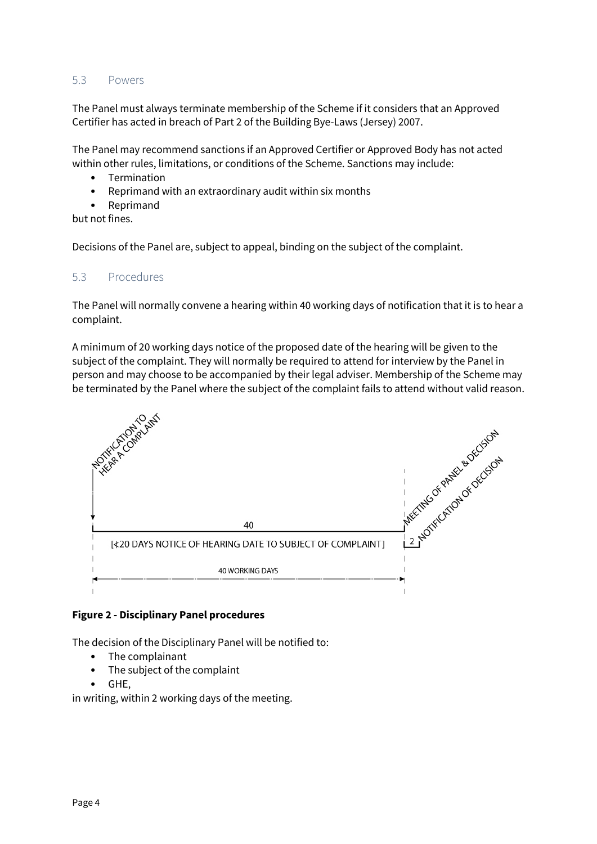#### 5.3 Powers

The Panel must always terminate membership of the Scheme if it considers that an Approved Certifier has acted in breach of Part 2 of the Building Bye-Laws (Jersey) 2007.

The Panel may recommend sanctions if an Approved Certifier or Approved Body has not acted within other rules, limitations, or conditions of the Scheme. Sanctions may include:

- Termination
- Reprimand with an extraordinary audit within six months
- Reprimand

but not fines.

Decisions of the Panel are, subject to appeal, binding on the subject of the complaint.

#### 5.3 Procedures

The Panel will normally convene a hearing within 40 working days of notification that it is to hear a complaint.

A minimum of 20 working days notice of the proposed date of the hearing will be given to the subject of the complaint. They will normally be required to attend for interview by the Panel in person and may choose to be accompanied by their legal adviser. Membership of the Scheme may be terminated by the Panel where the subject of the complaint fails to attend without valid reason.



#### **Figure 2 - Disciplinary Panel procedures**

The decision of the Disciplinary Panel will be notified to:

- The complainant
- The subject of the complaint
- GHE,

in writing, within 2 working days of the meeting.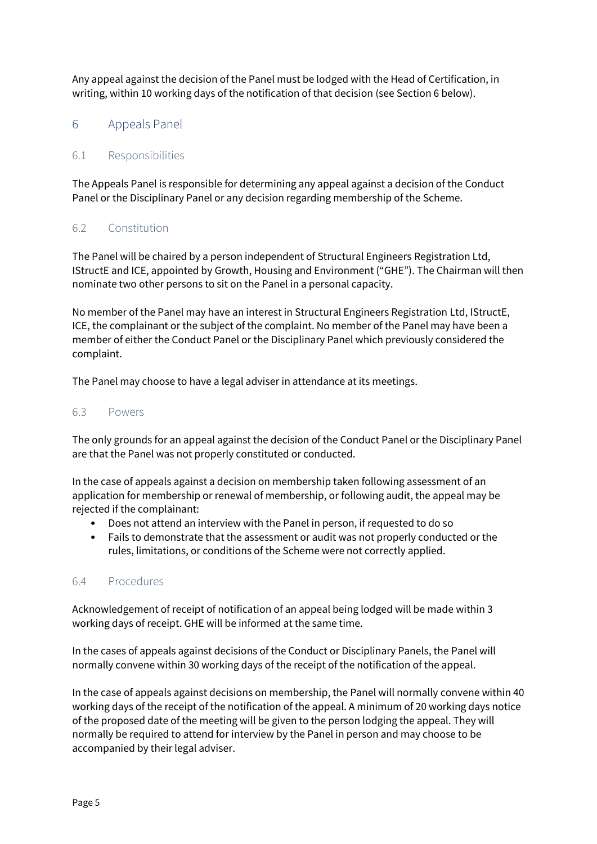Any appeal against the decision of the Panel must be lodged with the Head of Certification, in writing, within 10 working days of the notification of that decision (see Section 6 below).

# 6 Appeals Panel

## 6.1 Responsibilities

The Appeals Panel is responsible for determining any appeal against a decision of the Conduct Panel or the Disciplinary Panel or any decision regarding membership of the Scheme.

## 6.2 Constitution

The Panel will be chaired by a person independent of Structural Engineers Registration Ltd, IStructE and ICE, appointed by Growth, Housing and Environment ("GHE"). The Chairman will then nominate two other persons to sit on the Panel in a personal capacity.

No member of the Panel may have an interest in Structural Engineers Registration Ltd, IStructE, ICE, the complainant or the subject of the complaint. No member of the Panel may have been a member of either the Conduct Panel or the Disciplinary Panel which previously considered the complaint.

The Panel may choose to have a legal adviser in attendance at its meetings.

#### 6.3 Powers

The only grounds for an appeal against the decision of the Conduct Panel or the Disciplinary Panel are that the Panel was not properly constituted or conducted.

In the case of appeals against a decision on membership taken following assessment of an application for membership or renewal of membership, or following audit, the appeal may be rejected if the complainant:

- Does not attend an interview with the Panel in person, if requested to do so
- Fails to demonstrate that the assessment or audit was not properly conducted or the rules, limitations, or conditions of the Scheme were not correctly applied.

## 6.4 Procedures

Acknowledgement of receipt of notification of an appeal being lodged will be made within 3 working days of receipt. GHE will be informed at the same time.

In the cases of appeals against decisions of the Conduct or Disciplinary Panels, the Panel will normally convene within 30 working days of the receipt of the notification of the appeal.

In the case of appeals against decisions on membership, the Panel will normally convene within 40 working days of the receipt of the notification of the appeal. A minimum of 20 working days notice of the proposed date of the meeting will be given to the person lodging the appeal. They will normally be required to attend for interview by the Panel in person and may choose to be accompanied by their legal adviser.